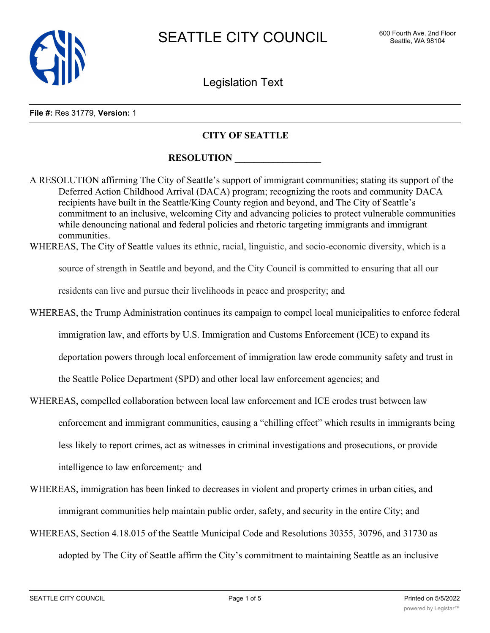

Legislation Text

#### **File #:** Res 31779, **Version:** 1

#### **CITY OF SEATTLE**

### **RESOLUTION**

A RESOLUTION affirming The City of Seattle's support of immigrant communities; stating its support of the Deferred Action Childhood Arrival (DACA) program; recognizing the roots and community DACA recipients have built in the Seattle/King County region and beyond, and The City of Seattle's commitment to an inclusive, welcoming City and advancing policies to protect vulnerable communities while denouncing national and federal policies and rhetoric targeting immigrants and immigrant communities.

WHEREAS, The City of Seattle values its ethnic, racial, linguistic, and socio-economic diversity, which is a

source of strength in Seattle and beyond, and the City Council is committed to ensuring that all our

residents can live and pursue their livelihoods in peace and prosperity; and

WHEREAS, the Trump Administration continues its campaign to compel local municipalities to enforce federal immigration law, and efforts by U.S. Immigration and Customs Enforcement (ICE) to expand its deportation powers through local enforcement of immigration law erode community safety and trust in the Seattle Police Department (SPD) and other local law enforcement agencies; and

- WHEREAS, compelled collaboration between local law enforcement and ICE erodes trust between law enforcement and immigrant communities, causing a "chilling effect" which results in immigrants being less likely to report crimes, act as witnesses in criminal investigations and prosecutions, or provide intelligence to law enforcement; and
- WHEREAS, immigration has been linked to decreases in violent and property crimes in urban cities, and immigrant communities help maintain public order, safety, and security in the entire City; and
- WHEREAS, Section 4.18.015 of the Seattle Municipal Code and Resolutions 30355, 30796, and 31730 as adopted by The City of Seattle affirm the City's commitment to maintaining Seattle as an inclusive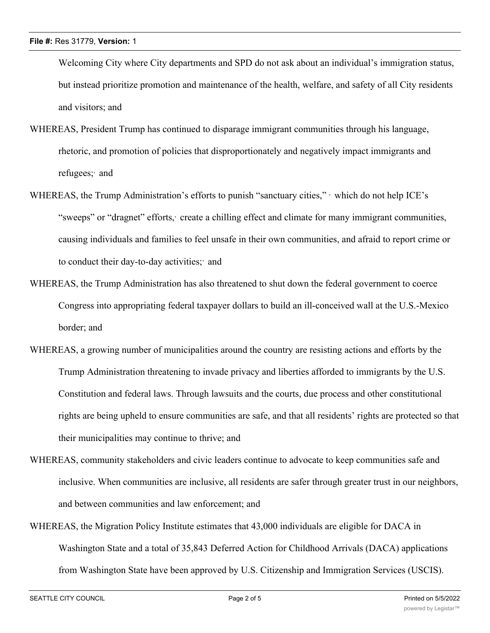Welcoming City where City departments and SPD do not ask about an individual's immigration status, but instead prioritize promotion and maintenance of the health, welfare, and safety of all City residents and visitors; and

- WHEREAS, President Trump has continued to disparage immigrant communities through his language, rhetoric, and promotion of policies that disproportionately and negatively impact immigrants and refugees; and
- WHEREAS, the Trump Administration's efforts to punish "sanctuary cities," which do not help ICE's "sweeps" or "dragnet" efforts, create a chilling effect and climate for many immigrant communities, causing individuals and families to feel unsafe in their own communities, and afraid to report crime or to conduct their day-to-day activities; and
- WHEREAS, the Trump Administration has also threatened to shut down the federal government to coerce Congress into appropriating federal taxpayer dollars to build an ill-conceived wall at the U.S.-Mexico border; and
- WHEREAS, a growing number of municipalities around the country are resisting actions and efforts by the Trump Administration threatening to invade privacy and liberties afforded to immigrants by the U.S. Constitution and federal laws. Through lawsuits and the courts, due process and other constitutional rights are being upheld to ensure communities are safe, and that all residents' rights are protected so that their municipalities may continue to thrive; and
- WHEREAS, community stakeholders and civic leaders continue to advocate to keep communities safe and inclusive. When communities are inclusive, all residents are safer through greater trust in our neighbors, and between communities and law enforcement; and
- WHEREAS, the Migration Policy Institute estimates that 43,000 individuals are eligible for DACA in Washington State and a total of 35,843 Deferred Action for Childhood Arrivals (DACA) applications from Washington State have been approved by U.S. Citizenship and Immigration Services (USCIS).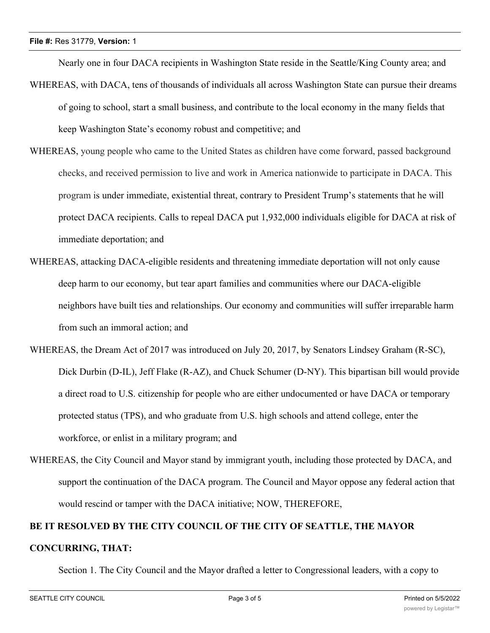Nearly one in four DACA recipients in Washington State reside in the Seattle/King County area; and

- WHEREAS, with DACA, tens of thousands of individuals all across Washington State can pursue their dreams of going to school, start a small business, and contribute to the local economy in the many fields that keep Washington State's economy robust and competitive; and
- WHEREAS, young people who came to the United States as children have come forward, passed background checks, and received permission to live and work in America nationwide to participate in DACA. This program is under immediate, existential threat, contrary to President Trump's statements that he will protect DACA recipients. Calls to repeal DACA put 1,932,000 individuals eligible for DACA at risk of immediate deportation; and
- WHEREAS, attacking DACA-eligible residents and threatening immediate deportation will not only cause deep harm to our economy, but tear apart families and communities where our DACA-eligible neighbors have built ties and relationships. Our economy and communities will suffer irreparable harm from such an immoral action; and
- WHEREAS, the Dream Act of 2017 was introduced on July 20, 2017, by Senators Lindsey Graham (R-SC), Dick Durbin (D-IL), Jeff Flake (R-AZ), and Chuck Schumer (D-NY). This bipartisan bill would provide a direct road to U.S. citizenship for people who are either undocumented or have DACA or temporary protected status (TPS), and who graduate from U.S. high schools and attend college, enter the workforce, or enlist in a military program; and
- WHEREAS, the City Council and Mayor stand by immigrant youth, including those protected by DACA, and support the continuation of the DACA program. The Council and Mayor oppose any federal action that would rescind or tamper with the DACA initiative; NOW, THEREFORE,

# **BE IT RESOLVED BY THE CITY COUNCIL OF THE CITY OF SEATTLE, THE MAYOR CONCURRING, THAT:**

Section 1. The City Council and the Mayor drafted a letter to Congressional leaders, with a copy to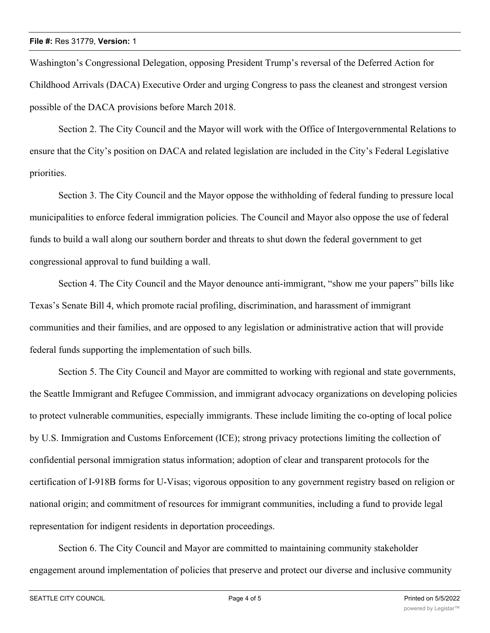Washington's Congressional Delegation, opposing President Trump's reversal of the Deferred Action for Childhood Arrivals (DACA) Executive Order and urging Congress to pass the cleanest and strongest version possible of the DACA provisions before March 2018.

Section 2. The City Council and the Mayor will work with the Office of Intergovernmental Relations to ensure that the City's position on DACA and related legislation are included in the City's Federal Legislative priorities.

Section 3. The City Council and the Mayor oppose the withholding of federal funding to pressure local municipalities to enforce federal immigration policies. The Council and Mayor also oppose the use of federal funds to build a wall along our southern border and threats to shut down the federal government to get congressional approval to fund building a wall.

Section 4. The City Council and the Mayor denounce anti-immigrant, "show me your papers" bills like Texas's Senate Bill 4, which promote racial profiling, discrimination, and harassment of immigrant communities and their families, and are opposed to any legislation or administrative action that will provide federal funds supporting the implementation of such bills.

Section 5. The City Council and Mayor are committed to working with regional and state governments, the Seattle Immigrant and Refugee Commission, and immigrant advocacy organizations on developing policies to protect vulnerable communities, especially immigrants. These include limiting the co-opting of local police by U.S. Immigration and Customs Enforcement (ICE); strong privacy protections limiting the collection of confidential personal immigration status information; adoption of clear and transparent protocols for the certification of I-918B forms for U-Visas; vigorous opposition to any government registry based on religion or national origin; and commitment of resources for immigrant communities, including a fund to provide legal representation for indigent residents in deportation proceedings.

Section 6. The City Council and Mayor are committed to maintaining community stakeholder engagement around implementation of policies that preserve and protect our diverse and inclusive community